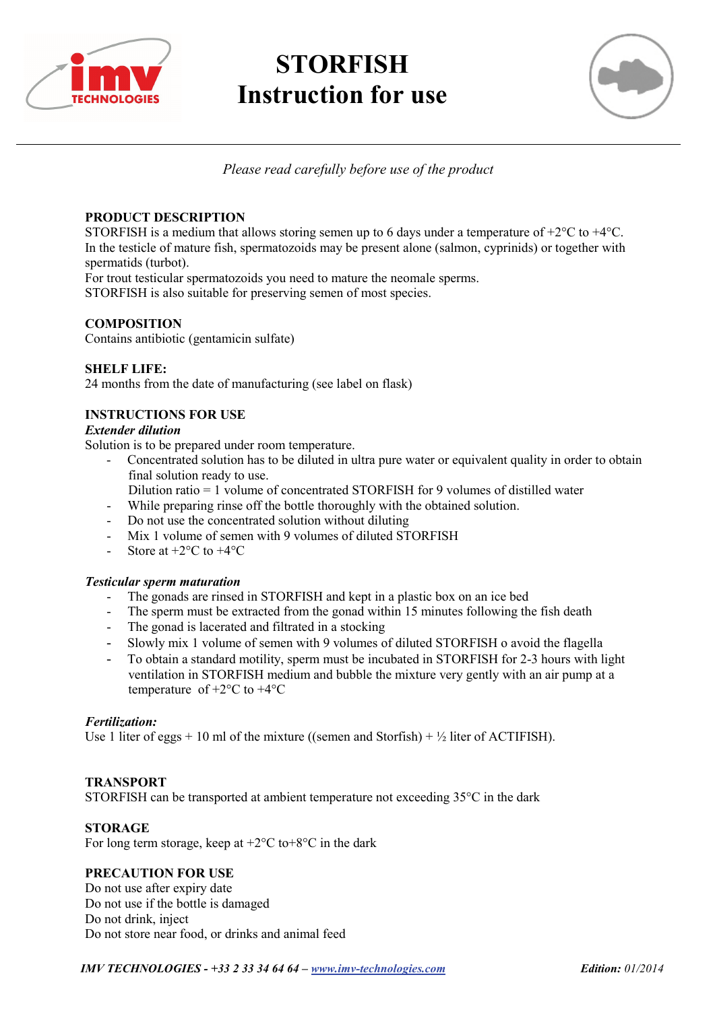

# **STORFISH Instruction for use**



*Please read carefully before use of the product* 

### **PRODUCT DESCRIPTION**

STORFISH is a medium that allows storing semen up to 6 days under a temperature of  $+2^{\circ}C$  to  $+4^{\circ}C$ . In the testicle of mature fish, spermatozoids may be present alone (salmon, cyprinids) or together with spermatids (turbot).

For trout testicular spermatozoids you need to mature the neomale sperms.

STORFISH is also suitable for preserving semen of most species.

## **COMPOSITION**

Contains antibiotic (gentamicin sulfate)

#### **SHELF LIFE:**

24 months from the date of manufacturing (see label on flask)

#### **INSTRUCTIONS FOR USE**

#### *Extender dilution*

Solution is to be prepared under room temperature.

- Concentrated solution has to be diluted in ultra pure water or equivalent quality in order to obtain final solution ready to use.
- Dilution ratio = 1 volume of concentrated STORFISH for 9 volumes of distilled water
- While preparing rinse off the bottle thoroughly with the obtained solution.
- Do not use the concentrated solution without diluting
- Mix 1 volume of semen with 9 volumes of diluted STORFISH
- Store at  $+2$ °C to  $+4$ °C

#### *Testicular sperm maturation*

- The gonads are rinsed in STORFISH and kept in a plastic box on an ice bed
- The sperm must be extracted from the gonad within 15 minutes following the fish death
- The gonad is lacerated and filtrated in a stocking
- Slowly mix 1 volume of semen with 9 volumes of diluted STORFISH o avoid the flagella
- To obtain a standard motility, sperm must be incubated in STORFISH for 2-3 hours with light ventilation in STORFISH medium and bubble the mixture very gently with an air pump at a temperature of  $+2$ °C to  $+4$ °C

#### *Fertilization:*

Use 1 liter of eggs + 10 ml of the mixture ((semen and Storfish) +  $\frac{1}{2}$  liter of ACTIFISH).

#### **TRANSPORT**

STORFISH can be transported at ambient temperature not exceeding 35°C in the dark

#### **STORAGE**

For long term storage, keep at  $+2$ °C to $+8$ °C in the dark

#### **PRECAUTION FOR USE**

Do not use after expiry date Do not use if the bottle is damaged Do not drink, inject Do not store near food, or drinks and animal feed